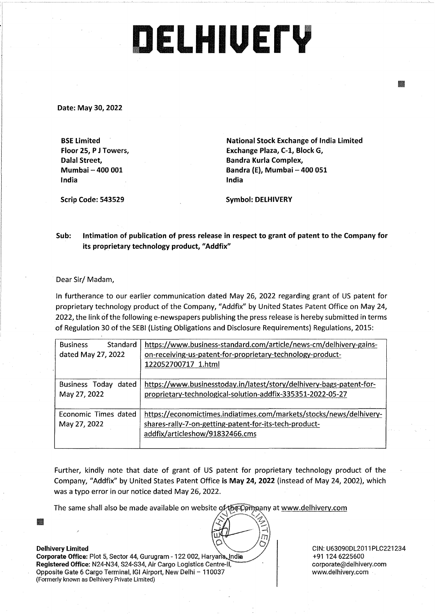## **DELHIUErY**

**Date: May 30, 2022** 

**BSE Limited Floor 25, P J Towers, Dalal Street, Mumbai - 400 001 India** 

**National Stock Exchange of India Limited Exchange Plaza, C-1, BlockG, Bandra Kurla Complex, Bandra (E), Mumbai - 400 051 India** 

**Scrip Code: 543529** 

**Symbol: DELHIVERY** 

**Sub: Intimation of publication of press release in respect to grant of patent to the Company for its proprietary technology product, "Addfix"** 

Dear Sir/ Madam,

In furtherance to our earlier communication dated May 26, 2022 regarding grant of US patent for proprietary technology product of the Company, "Addfix" by United States Patent Office on May 24, 2022, the link of the following e-newspapers publishing the press release is hereby submitted in terms of Regulation 30 of the SEBI (Listing Obligations and Disclosure Requirements) Regulations, 2015:

| <b>Business</b><br>Standard<br>dated May 27, 2022 | https://www.business-standard.com/article/news-cm/delhivery-gains-<br>on-receiving-us-patent-for-proprietary-technology-product-<br>122052700717 1.html          |
|---------------------------------------------------|------------------------------------------------------------------------------------------------------------------------------------------------------------------|
| Business Today<br>dated<br>May 27, 2022           | https://www.businesstoday.in/latest/story/delhivery-bags-patent-for-<br>proprietary-technological-solution-addfix-335351-2022-05-27                              |
| Economic Times dated<br>May 27, 2022              | https://economictimes.indiatimes.com/markets/stocks/news/delhivery-<br>shares-rally-7-on-getting-patent-for-its-tech-product-<br>addfix/articleshow/91832466.cms |

Further, kindly note that date of grant of US patent for proprietary technology product of the Company, "Addfix" by United States Patent Office **is May 24, 2022** (instead of May 24, 2002), which was a typo error in our notice dated May 26, 2022.

m

The same shall also be made available on website of the Company at www.delhivery.com

Ill

Corporate Office: Plot 5, Sector 44, Gurugram - 122 002, Haryana, India **Registered Office: N24-N34, S24-S34, Air Cargo Logistics Centre-II,** Opposite Gate 6 Cargo Terminal, IGI Airport, New Delhi - 110037 (Formerly known as Delhivery Private Limited)

**Delhivery Limited**  CIN: U63090DL2011PLC221234 +91 124 6225600 corporate@delhivery.com www.delhivery.com